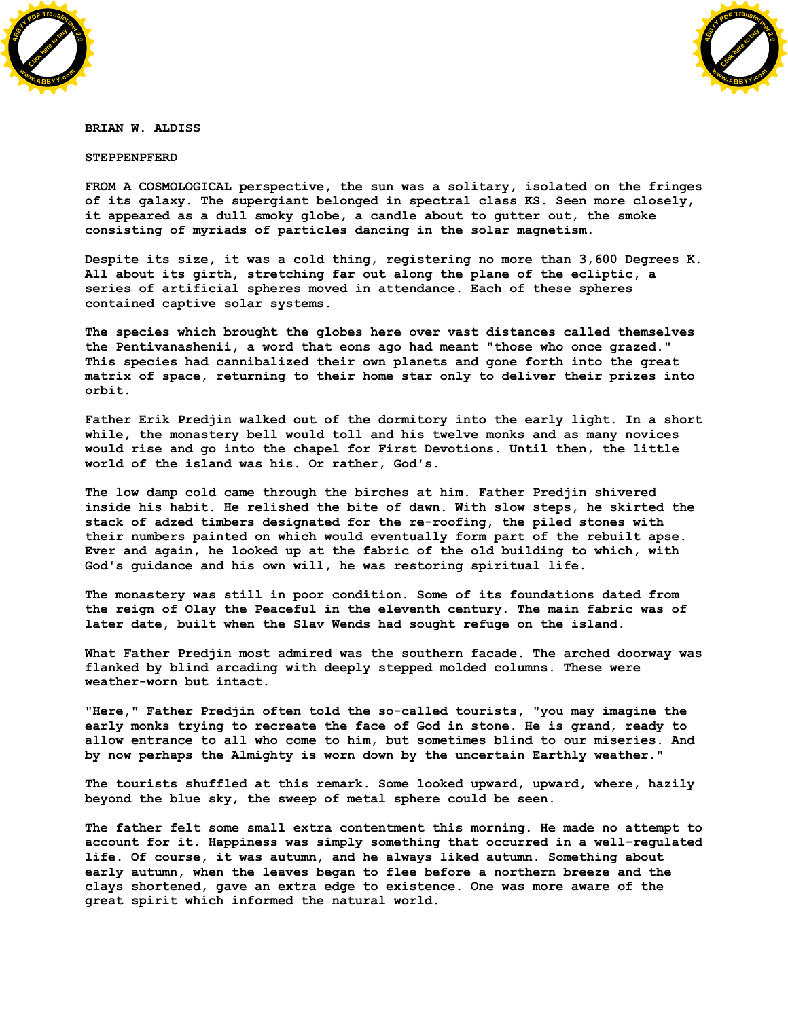



## **BRIAN W. ALDISS**

## **STEPPENPFERD**

**FROM A COSMOLOGICAL perspective, the sun was a solitary, isolated on the fringes of its galaxy. The supergiant belonged in spectral class KS. Seen more closely, it appeared as a dull smoky globe, a candle about to gutter out, the smoke consisting of myriads of particles dancing in the solar magnetism.**

**Despite its size, it was a cold thing, registering no more than 3,600 Degrees K. All about its girth, stretching far out along the plane of the ecliptic, a series of artificial spheres moved in attendance. Each of these spheres contained captive solar systems.**

**The species which brought the globes here over vast distances called themselves the Pentivanashenii, a word that eons ago had meant "those who once grazed." This species had cannibalized their own planets and gone forth into the great matrix of space, returning to their home star only to deliver their prizes into orbit.**

**Father Erik Predjin walked out of the dormitory into the early light. In a short while, the monastery bell would toll and his twelve monks and as many novices would rise and go into the chapel for First Devotions. Until then, the little world of the island was his. Or rather, God's.**

**The low damp cold came through the birches at him. Father Predjin shivered inside his habit. He relished the bite of dawn. With slow steps, he skirted the stack of adzed timbers designated for the re-roofing, the piled stones with their numbers painted on which would eventually form part of the rebuilt apse. Ever and again, he looked up at the fabric of the old building to which, with God's guidance and his own will, he was restoring spiritual life.**

**The monastery was still in poor condition. Some of its foundations dated from the reign of Olay the Peaceful in the eleventh century. The main fabric was of later date, built when the Slav Wends had sought refuge on the island.**

**What Father Predjin most admired was the southern facade. The arched doorway was flanked by blind arcading with deeply stepped molded columns. These were weather-worn but intact.**

**"Here," Father Predjin often told the so-called tourists, "you may imagine the early monks trying to recreate the face of God in stone. He is grand, ready to allow entrance to all who come to him, but sometimes blind to our miseries. And by now perhaps the Almighty is worn down by the uncertain Earthly weather."**

**The tourists shuffled at this remark. Some looked upward, upward, where, hazily beyond the blue sky, the sweep of metal sphere could be seen.**

**The father felt some small extra contentment this morning. He made no attempt to account for it. Happiness was simply something that occurred in a well-regulated life. Of course, it was autumn, and he always liked autumn. Something about early autumn, when the leaves began to flee before a northern breeze and the clays shortened, gave an extra edge to existence. One was more aware of the great spirit which informed the natural world.**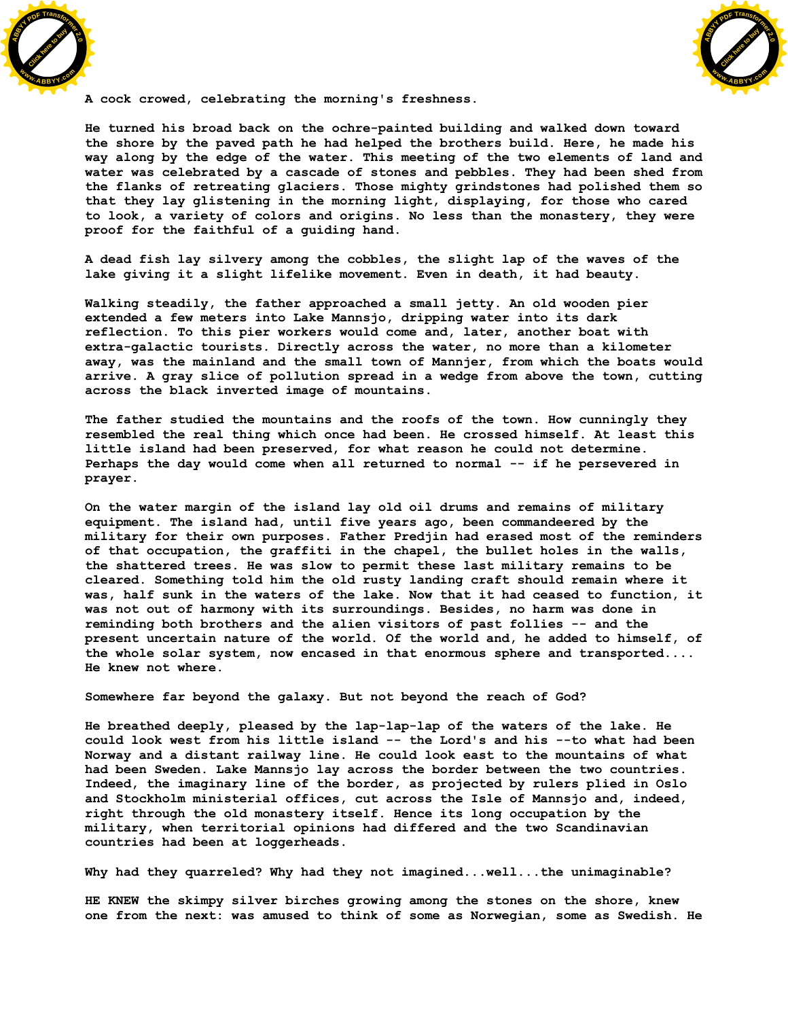



**A cock crowed, celebrating the morning's freshness.**

**He turned his broad back on the ochre-painted building and walked down toward the shore by the paved path he had helped the brothers build. Here, he made his way along by the edge of the water. This meeting of the two elements of land and water was celebrated by a cascade of stones and pebbles. They had been shed from the flanks of retreating glaciers. Those mighty grindstones had polished them so that they lay glistening in the morning light, displaying, for those who cared to look, a variety of colors and origins. No less than the monastery, they were proof for the faithful of a guiding hand.**

**A dead fish lay silvery among the cobbles, the slight lap of the waves of the lake giving it a slight lifelike movement. Even in death, it had beauty.**

**Walking steadily, the father approached a small jetty. An old wooden pier extended a few meters into Lake Mannsjo, dripping water into its dark reflection. To this pier workers would come and, later, another boat with extra-galactic tourists. Directly across the water, no more than a kilometer away, was the mainland and the small town of Mannjer, from which the boats would arrive. A gray slice of pollution spread in a wedge from above the town, cutting across the black inverted image of mountains.**

**The father studied the mountains and the roofs of the town. How cunningly they resembled the real thing which once had been. He crossed himself. At least this little island had been preserved, for what reason he could not determine. Perhaps the day would come when all returned to normal -- if he persevered in prayer.**

**On the water margin of the island lay old oil drums and remains of military equipment. The island had, until five years ago, been commandeered by the military for their own purposes. Father Predjin had erased most of the reminders of that occupation, the graffiti in the chapel, the bullet holes in the walls, the shattered trees. He was slow to permit these last military remains to be cleared. Something told him the old rusty landing craft should remain where it was, half sunk in the waters of the lake. Now that it had ceased to function, it was not out of harmony with its surroundings. Besides, no harm was done in reminding both brothers and the alien visitors of past follies -- and the present uncertain nature of the world. Of the world and, he added to himself, of the whole solar system, now encased in that enormous sphere and transported.... He knew not where.**

**Somewhere far beyond the galaxy. But not beyond the reach of God?**

**He breathed deeply, pleased by the lap-lap-lap of the waters of the lake. He could look west from his little island -- the Lord's and his --to what had been Norway and a distant railway line. He could look east to the mountains of what had been Sweden. Lake Mannsjo lay across the border between the two countries. Indeed, the imaginary line of the border, as projected by rulers plied in Oslo and Stockholm ministerial offices, cut across the Isle of Mannsjo and, indeed, right through the old monastery itself. Hence its long occupation by the military, when territorial opinions had differed and the two Scandinavian countries had been at loggerheads.**

**Why had they quarreled? Why had they not imagined...well...the unimaginable?**

**HE KNEW the skimpy silver birches growing among the stones on the shore, knew one from the next: was amused to think of some as Norwegian, some as Swedish. He**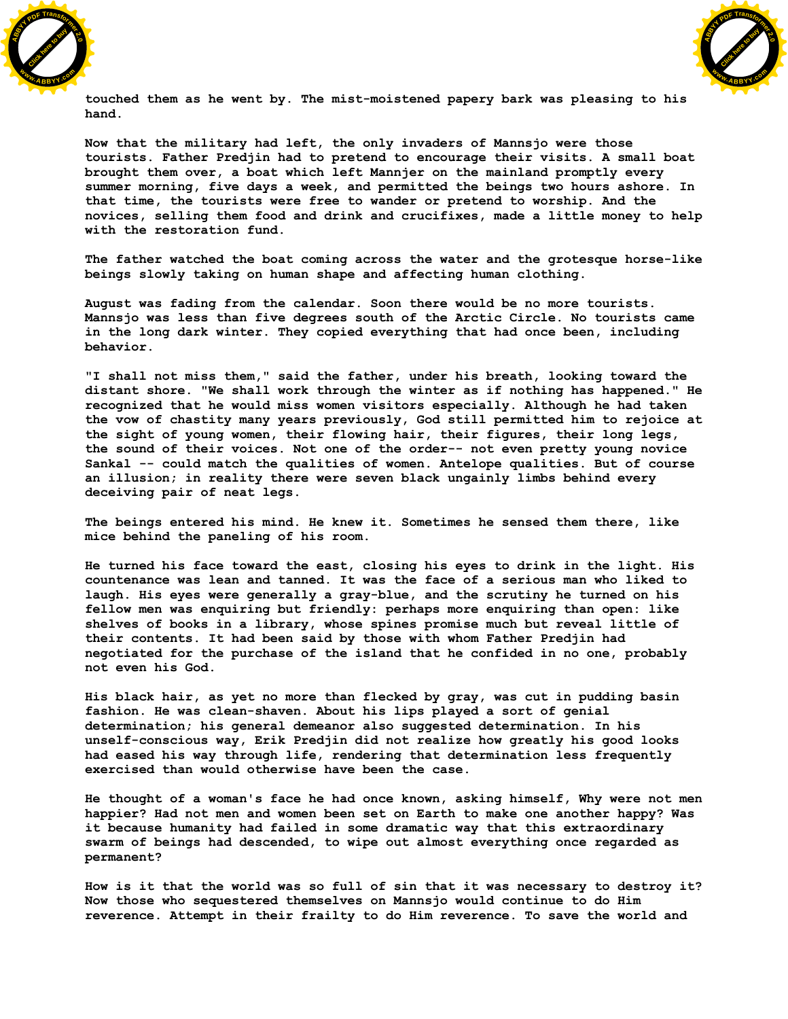



**touched them as he went by. The mist-moistened papery bark was pleasing to his hand.**

**Now that the military had left, the only invaders of Mannsjo were those tourists. Father Predjin had to pretend to encourage their visits. A small boat brought them over, a boat which left Mannjer on the mainland promptly every summer morning, five days a week, and permitted the beings two hours ashore. In that time, the tourists were free to wander or pretend to worship. And the novices, selling them food and drink and crucifixes, made a little money to help with the restoration fund.**

**The father watched the boat coming across the water and the grotesque horse-like beings slowly taking on human shape and affecting human clothing.**

**August was fading from the calendar. Soon there would be no more tourists. Mannsjo was less than five degrees south of the Arctic Circle. No tourists came in the long dark winter. They copied everything that had once been, including behavior.**

**"I shall not miss them," said the father, under his breath, looking toward the distant shore. "We shall work through the winter as if nothing has happened." He recognized that he would miss women visitors especially. Although he had taken the vow of chastity many years previously, God still permitted him to rejoice at the sight of young women, their flowing hair, their figures, their long legs, the sound of their voices. Not one of the order-- not even pretty young novice Sankal -- could match the qualities of women. Antelope qualities. But of course an illusion; in reality there were seven black ungainly limbs behind every deceiving pair of neat legs.**

**The beings entered his mind. He knew it. Sometimes he sensed them there, like mice behind the paneling of his room.**

**He turned his face toward the east, closing his eyes to drink in the light. His countenance was lean and tanned. It was the face of a serious man who liked to laugh. His eyes were generally a gray-blue, and the scrutiny he turned on his fellow men was enquiring but friendly: perhaps more enquiring than open: like shelves of books in a library, whose spines promise much but reveal little of their contents. It had been said by those with whom Father Predjin had negotiated for the purchase of the island that he confided in no one, probably not even his God.**

**His black hair, as yet no more than flecked by gray, was cut in pudding basin fashion. He was clean-shaven. About his lips played a sort of genial determination; his general demeanor also suggested determination. In his unself-conscious way, Erik Predjin did not realize how greatly his good looks had eased his way through life, rendering that determination less frequently exercised than would otherwise have been the case.**

**He thought of a woman's face he had once known, asking himself, Why were not men happier? Had not men and women been set on Earth to make one another happy? Was it because humanity had failed in some dramatic way that this extraordinary swarm of beings had descended, to wipe out almost everything once regarded as permanent?**

**How is it that the world was so full of sin that it was necessary to destroy it? Now those who sequestered themselves on Mannsjo would continue to do Him reverence. Attempt in their frailty to do Him reverence. To save the world and**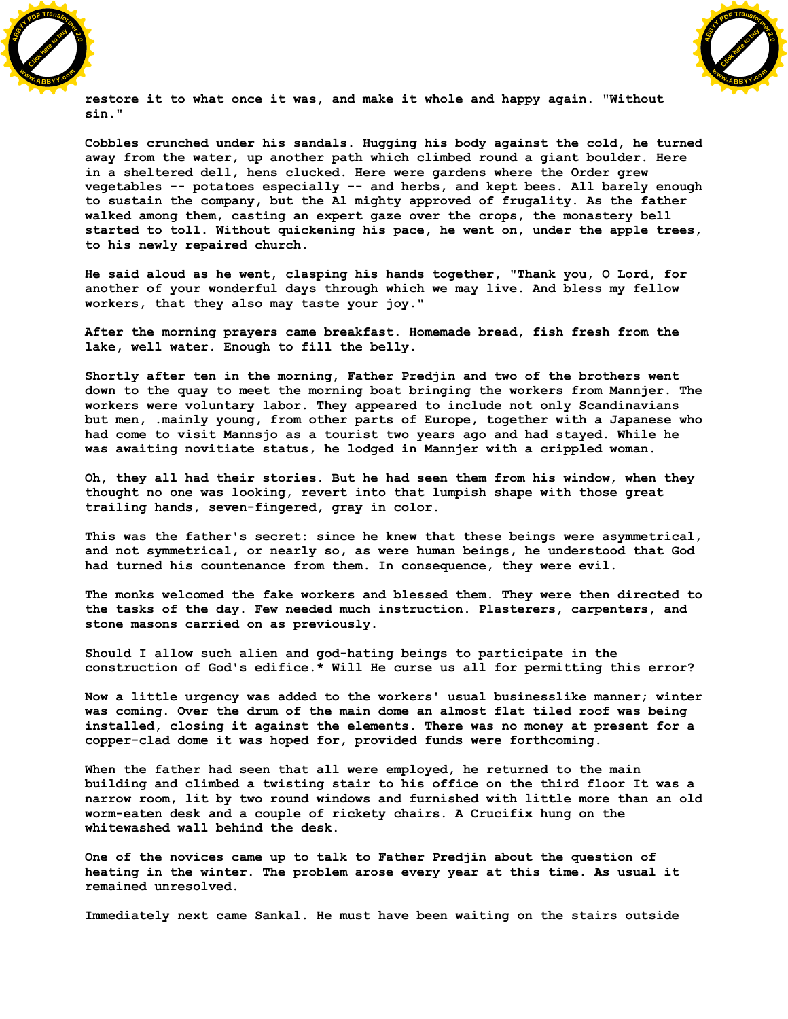



**restore it to what once it was, and make it whole and happy again. "Without sin."**

**Cobbles crunched under his sandals. Hugging his body against the cold, he turned away from the water, up another path which climbed round a giant boulder. Here in a sheltered dell, hens clucked. Here were gardens where the Order grew vegetables -- potatoes especially -- and herbs, and kept bees. All barely enough to sustain the company, but the Al mighty approved of frugality. As the father walked among them, casting an expert gaze over the crops, the monastery bell started to toll. Without quickening his pace, he went on, under the apple trees, to his newly repaired church.**

**He said aloud as he went, clasping his hands together, "Thank you, O Lord, for another of your wonderful days through which we may live. And bless my fellow workers, that they also may taste your joy."**

**After the morning prayers came breakfast. Homemade bread, fish fresh from the lake, well water. Enough to fill the belly.**

**Shortly after ten in the morning, Father Predjin and two of the brothers went down to the quay to meet the morning boat bringing the workers from Mannjer. The workers were voluntary labor. They appeared to include not only Scandinavians but men, .mainly young, from other parts of Europe, together with a Japanese who had come to visit Mannsjo as a tourist two years ago and had stayed. While he was awaiting novitiate status, he lodged in Mannjer with a crippled woman.**

**Oh, they all had their stories. But he had seen them from his window, when they thought no one was looking, revert into that lumpish shape with those great trailing hands, seven-fingered, gray in color.**

**This was the father's secret: since he knew that these beings were asymmetrical, and not symmetrical, or nearly so, as were human beings, he understood that God had turned his countenance from them. In consequence, they were evil.**

**The monks welcomed the fake workers and blessed them. They were then directed to the tasks of the day. Few needed much instruction. Plasterers, carpenters, and stone masons carried on as previously.**

**Should I allow such alien and god-hating beings to participate in the construction of God's edifice.\* Will He curse us all for permitting this error?**

**Now a little urgency was added to the workers' usual businesslike manner; winter was coming. Over the drum of the main dome an almost flat tiled roof was being installed, closing it against the elements. There was no money at present for a copper-clad dome it was hoped for, provided funds were forthcoming.**

**When the father had seen that all were employed, he returned to the main building and climbed a twisting stair to his office on the third floor It was a narrow room, lit by two round windows and furnished with little more than an old worm-eaten desk and a couple of rickety chairs. A Crucifix hung on the whitewashed wall behind the desk.**

**One of the novices came up to talk to Father Predjin about the question of heating in the winter. The problem arose every year at this time. As usual it remained unresolved.**

**Immediately next came Sankal. He must have been waiting on the stairs outside**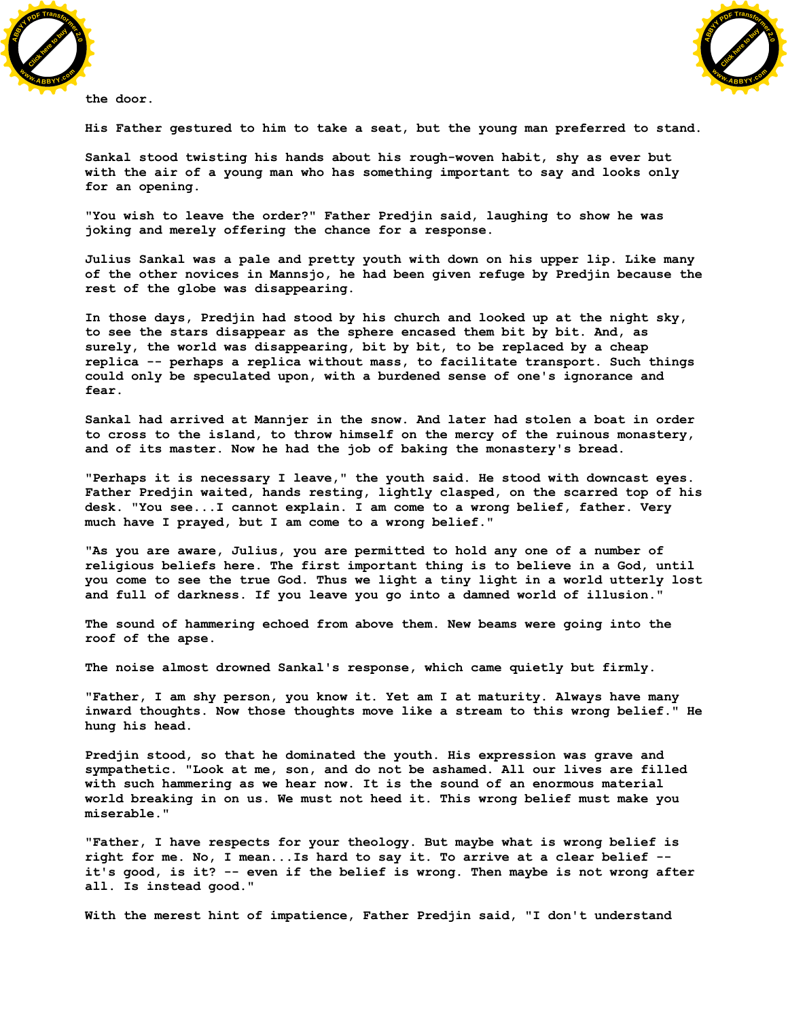



**the door.**

**His Father gestured to him to take a seat, but the young man preferred to stand.**

**Sankal stood twisting his hands about his rough-woven habit, shy as ever but with the air of a young man who has something important to say and looks only for an opening.**

**"You wish to leave the order?" Father Predjin said, laughing to show he was joking and merely offering the chance for a response.**

**Julius Sankal was a pale and pretty youth with down on his upper lip. Like many of the other novices in Mannsjo, he had been given refuge by Predjin because the rest of the globe was disappearing.**

**In those days, Predjin had stood by his church and looked up at the night sky, to see the stars disappear as the sphere encased them bit by bit. And, as surely, the world was disappearing, bit by bit, to be replaced by a cheap replica -- perhaps a replica without mass, to facilitate transport. Such things could only be speculated upon, with a burdened sense of one's ignorance and fear.**

**Sankal had arrived at Mannjer in the snow. And later had stolen a boat in order to cross to the island, to throw himself on the mercy of the ruinous monastery, and of its master. Now he had the job of baking the monastery's bread.**

**"Perhaps it is necessary I leave," the youth said. He stood with downcast eyes. Father Predjin waited, hands resting, lightly clasped, on the scarred top of his desk. "You see...I cannot explain. I am come to a wrong belief, father. Very much have I prayed, but I am come to a wrong belief."**

**"As you are aware, Julius, you are permitted to hold any one of a number of religious beliefs here. The first important thing is to believe in a God, until you come to see the true God. Thus we light a tiny light in a world utterly lost and full of darkness. If you leave you go into a damned world of illusion."**

**The sound of hammering echoed from above them. New beams were going into the roof of the apse.**

**The noise almost drowned Sankal's response, which came quietly but firmly.**

**"Father, I am shy person, you know it. Yet am I at maturity. Always have many inward thoughts. Now those thoughts move like a stream to this wrong belief." He hung his head.**

**Predjin stood, so that he dominated the youth. His expression was grave and sympathetic. "Look at me, son, and do not be ashamed. All our lives are filled with such hammering as we hear now. It is the sound of an enormous material world breaking in on us. We must not heed it. This wrong belief must make you miserable."**

**"Father, I have respects for your theology. But maybe what is wrong belief is right for me. No, I mean...Is hard to say it. To arrive at a clear belief - it's good, is it? -- even if the belief is wrong. Then maybe is not wrong after all. Is instead good."**

**With the merest hint of impatience, Father Predjin said, "I don't understand**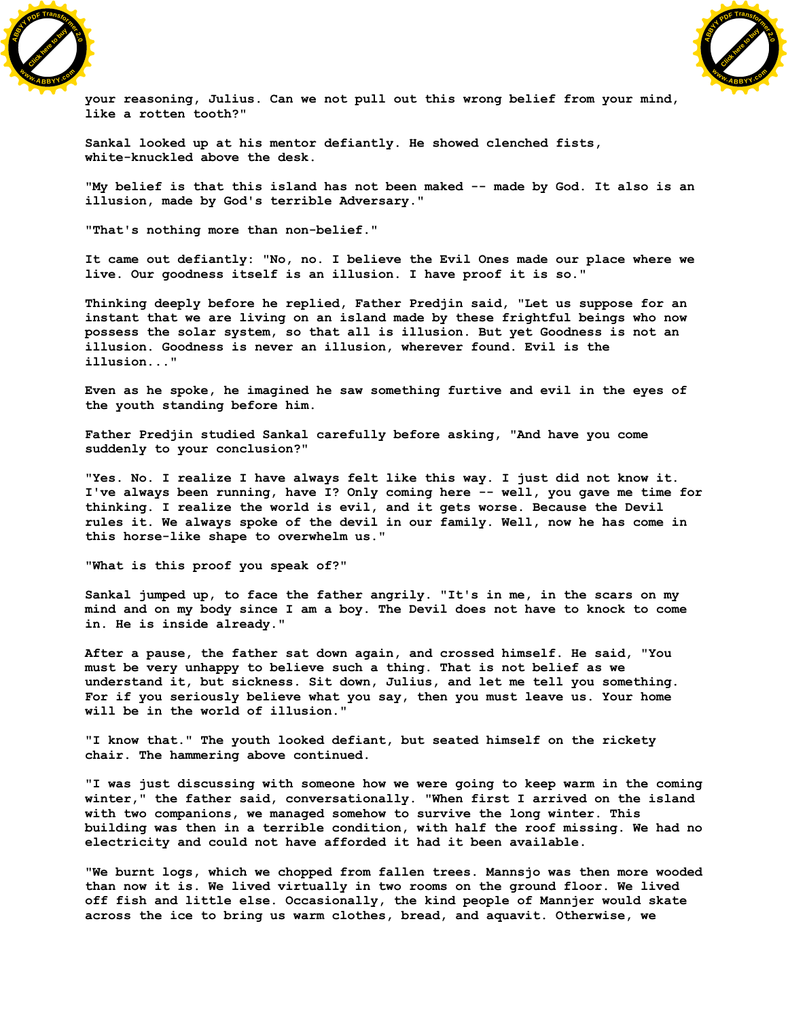



**your reasoning, Julius. Can we not pull out this wrong belief from your mind, like a rotten tooth?"**

**Sankal looked up at his mentor defiantly. He showed clenched fists, white-knuckled above the desk.**

**"My belief is that this island has not been maked -- made by God. It also is an illusion, made by God's terrible Adversary."**

**"That's nothing more than non-belief."**

**It came out defiantly: "No, no. I believe the Evil Ones made our place where we live. Our goodness itself is an illusion. I have proof it is so."**

**Thinking deeply before he replied, Father Predjin said, "Let us suppose for an instant that we are living on an island made by these frightful beings who now possess the solar system, so that all is illusion. But yet Goodness is not an illusion. Goodness is never an illusion, wherever found. Evil is the illusion..."**

**Even as he spoke, he imagined he saw something furtive and evil in the eyes of the youth standing before him.**

**Father Predjin studied Sankal carefully before asking, "And have you come suddenly to your conclusion?"**

**"Yes. No. I realize I have always felt like this way. I just did not know it. I've always been running, have I? Only coming here -- well, you gave me time for thinking. I realize the world is evil, and it gets worse. Because the Devil rules it. We always spoke of the devil in our family. Well, now he has come in this horse-like shape to overwhelm us."**

**"What is this proof you speak of?"**

**Sankal jumped up, to face the father angrily. "It's in me, in the scars on my mind and on my body since I am a boy. The Devil does not have to knock to come in. He is inside already."**

**After a pause, the father sat down again, and crossed himself. He said, "You must be very unhappy to believe such a thing. That is not belief as we understand it, but sickness. Sit down, Julius, and let me tell you something. For if you seriously believe what you say, then you must leave us. Your home will be in the world of illusion."**

**"I know that." The youth looked defiant, but seated himself on the rickety chair. The hammering above continued.**

**"I was just discussing with someone how we were going to keep warm in the coming winter," the father said, conversationally. "When first I arrived on the island with two companions, we managed somehow to survive the long winter. This building was then in a terrible condition, with half the roof missing. We had no electricity and could not have afforded it had it been available.**

**"We burnt logs, which we chopped from fallen trees. Mannsjo was then more wooded than now it is. We lived virtually in two rooms on the ground floor. We lived off fish and little else. Occasionally, the kind people of Mannjer would skate across the ice to bring us warm clothes, bread, and aquavit. Otherwise, we**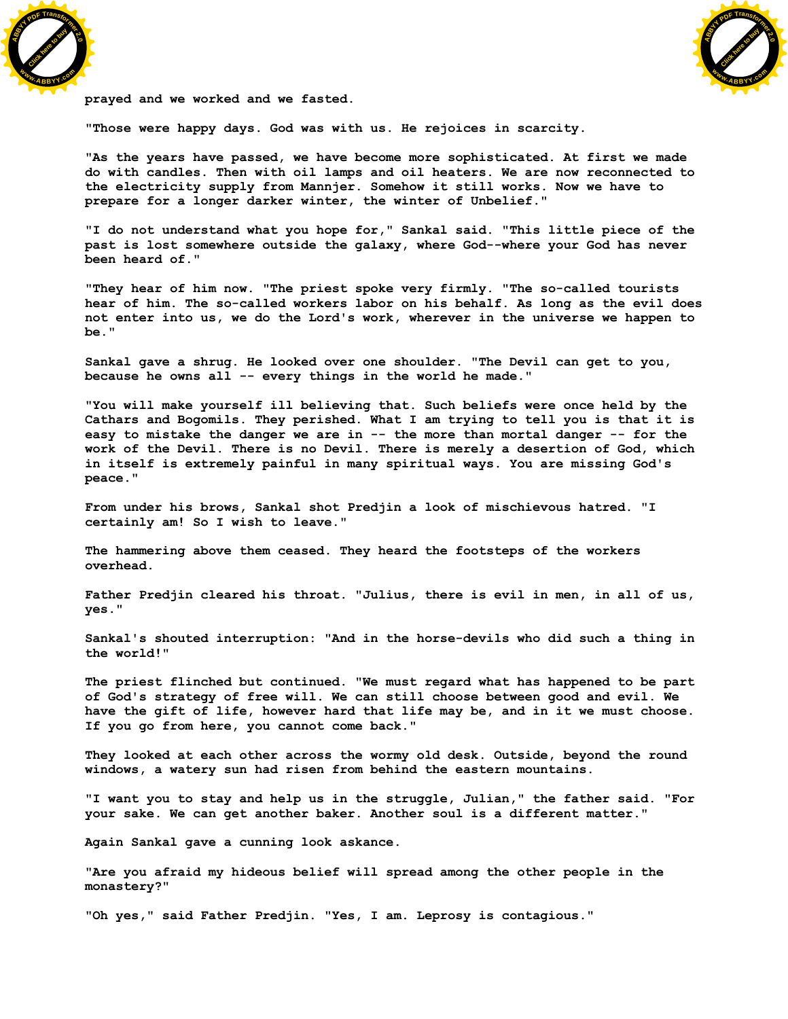



**prayed and we worked and we fasted.**

**"Those were happy days. God was with us. He rejoices in scarcity.**

**"As the years have passed, we have become more sophisticated. At first we made do with candles. Then with oil lamps and oil heaters. We are now reconnected to the electricity supply from Mannjer. Somehow it still works. Now we have to prepare for a longer darker winter, the winter of Unbelief."**

**"I do not understand what you hope for," Sankal said. "This little piece of the past is lost somewhere outside the galaxy, where God--where your God has never been heard of."**

**"They hear of him now. "The priest spoke very firmly. "The so-called tourists hear of him. The so-called workers labor on his behalf. As long as the evil does not enter into us, we do the Lord's work, wherever in the universe we happen to be."**

**Sankal gave a shrug. He looked over one shoulder. "The Devil can get to you, because he owns all -- every things in the world he made."**

**"You will make yourself ill believing that. Such beliefs were once held by the Cathars and Bogomils. They perished. What I am trying to tell you is that it is easy to mistake the danger we are in -- the more than mortal danger -- for the work of the Devil. There is no Devil. There is merely a desertion of God, which in itself is extremely painful in many spiritual ways. You are missing God's peace."**

**From under his brows, Sankal shot Predjin a look of mischievous hatred. "I certainly am! So I wish to leave."**

**The hammering above them ceased. They heard the footsteps of the workers overhead.**

**Father Predjin cleared his throat. "Julius, there is evil in men, in all of us, yes."**

**Sankal's shouted interruption: "And in the horse-devils who did such a thing in the world!"**

**The priest flinched but continued. "We must regard what has happened to be part of God's strategy of free will. We can still choose between good and evil. We have the gift of life, however hard that life may be, and in it we must choose. If you go from here, you cannot come back."**

**They looked at each other across the wormy old desk. Outside, beyond the round windows, a watery sun had risen from behind the eastern mountains.**

**"I want you to stay and help us in the struggle, Julian," the father said. "For your sake. We can get another baker. Another soul is a different matter."**

**Again Sankal gave a cunning look askance.**

**"Are you afraid my hideous belief will spread among the other people in the monastery?"**

**"Oh yes," said Father Predjin. "Yes, I am. Leprosy is contagious."**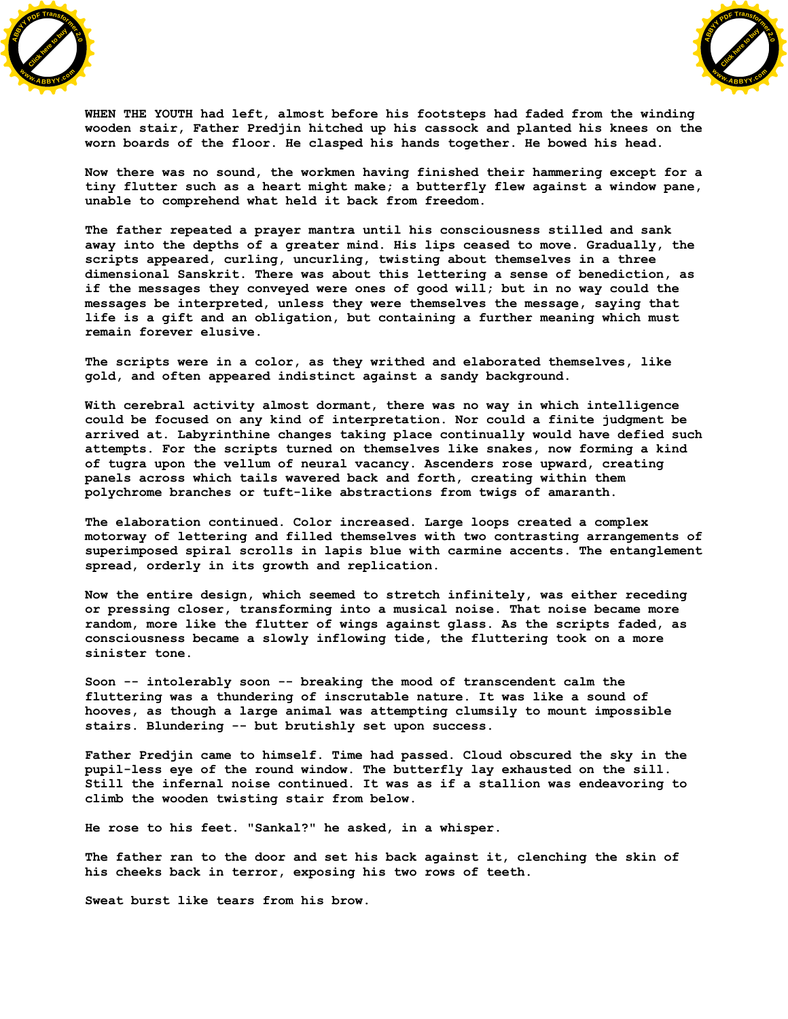



**WHEN THE YOUTH had left, almost before his footsteps had faded from the winding wooden stair, Father Predjin hitched up his cassock and planted his knees on the worn boards of the floor. He clasped his hands together. He bowed his head.**

**Now there was no sound, the workmen having finished their hammering except for a tiny flutter such as a heart might make; a butterfly flew against a window pane, unable to comprehend what held it back from freedom.**

**The father repeated a prayer mantra until his consciousness stilled and sank away into the depths of a greater mind. His lips ceased to move. Gradually, the scripts appeared, curling, uncurling, twisting about themselves in a three dimensional Sanskrit. There was about this lettering a sense of benediction, as if the messages they conveyed were ones of good will; but in no way could the messages be interpreted, unless they were themselves the message, saying that life is a gift and an obligation, but containing a further meaning which must remain forever elusive.**

**The scripts were in a color, as they writhed and elaborated themselves, like gold, and often appeared indistinct against a sandy background.**

**With cerebral activity almost dormant, there was no way in which intelligence could be focused on any kind of interpretation. Nor could a finite judgment be arrived at. Labyrinthine changes taking place continually would have defied such attempts. For the scripts turned on themselves like snakes, now forming a kind of tugra upon the vellum of neural vacancy. Ascenders rose upward, creating panels across which tails wavered back and forth, creating within them polychrome branches or tuft-like abstractions from twigs of amaranth.**

**The elaboration continued. Color increased. Large loops created a complex motorway of lettering and filled themselves with two contrasting arrangements of superimposed spiral scrolls in lapis blue with carmine accents. The entanglement spread, orderly in its growth and replication.**

**Now the entire design, which seemed to stretch infinitely, was either receding or pressing closer, transforming into a musical noise. That noise became more random, more like the flutter of wings against glass. As the scripts faded, as consciousness became a slowly inflowing tide, the fluttering took on a more sinister tone.**

**Soon -- intolerably soon -- breaking the mood of transcendent calm the fluttering was a thundering of inscrutable nature. It was like a sound of hooves, as though a large animal was attempting clumsily to mount impossible stairs. Blundering -- but brutishly set upon success.**

**Father Predjin came to himself. Time had passed. Cloud obscured the sky in the pupil-less eye of the round window. The butterfly lay exhausted on the sill. Still the infernal noise continued. It was as if a stallion was endeavoring to climb the wooden twisting stair from below.**

**He rose to his feet. "Sankal?" he asked, in a whisper.**

**The father ran to the door and set his back against it, clenching the skin of his cheeks back in terror, exposing his two rows of teeth.**

**Sweat burst like tears from his brow.**